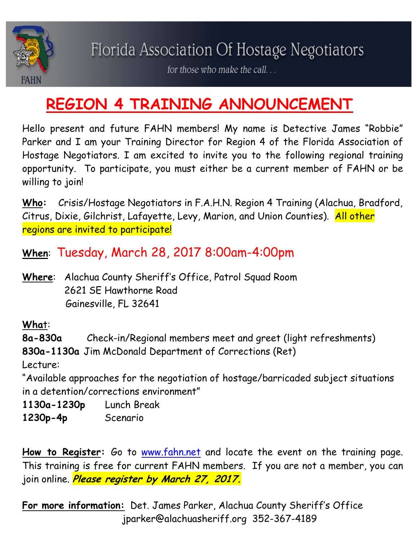

for those who make the call...

## **REGION 4 TRAINING ANNOUNCEMENT**

Hello present and future FAHN members! My name is Detective James "Robbie" Parker and I am your Training Director for Region 4 of the Florida Association of Hostage Negotiators. I am excited to invite you to the following regional training opportunity. To participate, you must either be a current member of FAHN or be willing to join!

**Who:** Crisis/Hostage Negotiators in F.A.H.N. Region 4 Training (Alachua, Bradford, Citrus, Dixie, Gilchrist, Lafayette, Levy, Marion, and Union Counties). All other regions are invited to participate!

**When**: Tuesday, March 28, 2017 8:00am-4:00pm

**Where**: Alachua County Sheriff's Office, Patrol Squad Room 2621 SE Hawthorne Road Gainesville, FL 32641

**Wha**t:

**8a-830a** Check-in/Regional members meet and greet (light refreshments) **830a-1130a** Jim McDonald Department of Corrections (Ret)

Lecture:

"Available approaches for the negotiation of hostage/barricaded subject situations in a detention/corrections environment"

**1130a-1230p** Lunch Break

**1230p-4p** Scenario

How to Register: Go to www.fahn.net and locate the event on the training page. This training is free for current FAHN members. If you are not a member, you can join online. **Please register by March 27, 2017.**

**For more information:** Det. James Parker, Alachua County Sheriff's Office jparker@alachuasheriff.org 352-367-4189